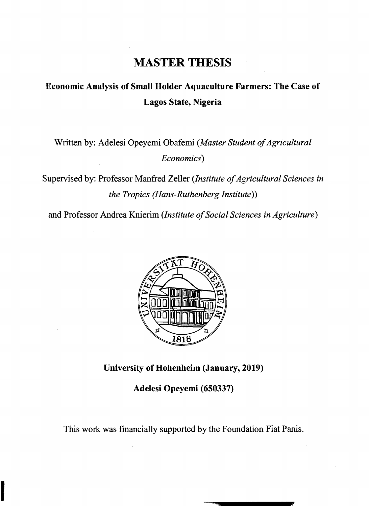## **MASTER THESIS**

## **Economic Analysis of Small Holder Aquaculture Farmers: The Case of Lagos State, Nigeria**

Written by: Adelesi Opeyemi Obafemi (Master Student of Agricultural *Economics)* 

Supervised by: Professor Manfred Zeller (Institute of Agricultural Sciences in *the Tropics (Hans-Ruthenberg Institute))* 

and Professor Andrea Knierim *(Institute 0/Social Sciences in Agriculture)* 



**University of Hohenheim (January, 2019)** 

**Adelesi Opeyemi (650337)** 

This work was financially supported by the Foundation Fiat Panis.